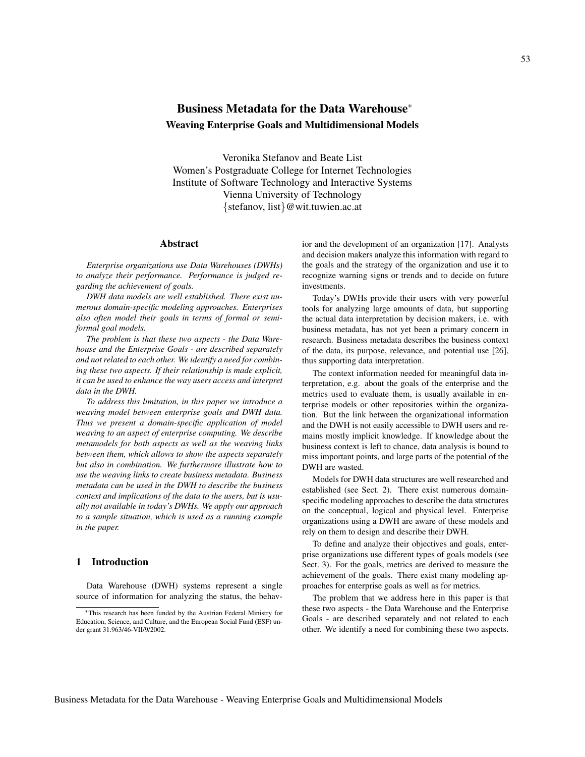# **Business Metadata for the Data Warehouse**<sup>∗</sup> **Weaving Enterprise Goals and Multidimensional Models**

Veronika Stefanov and Beate List Women's Postgraduate College for Internet Technologies Institute of Software Technology and Interactive Systems Vienna University of Technology {stefanov, list}@wit.tuwien.ac.at

#### **Abstract**

*Enterprise organizations use Data Warehouses (DWHs) to analyze their performance. Performance is judged regarding the achievement of goals.*

*DWH data models are well established. There exist numerous domain-specific modeling approaches. Enterprises also often model their goals in terms of formal or semiformal goal models.*

*The problem is that these two aspects - the Data Warehouse and the Enterprise Goals - are described separately and not related to each other. We identify a need for combining these two aspects. If their relationship is made explicit, it can be used to enhance the way users access and interpret data in the DWH.*

*To address this limitation, in this paper we introduce a weaving model between enterprise goals and DWH data. Thus we present a domain-specific application of model weaving to an aspect of enterprise computing. We describe metamodels for both aspects as well as the weaving links between them, which allows to show the aspects separately but also in combination. We furthermore illustrate how to use the weaving links to create business metadata. Business metadata can be used in the DWH to describe the business context and implications of the data to the users, but is usually not available in today's DWHs. We apply our approach to a sample situation, which is used as a running example in the paper.*

## **1 Introduction**

Data Warehouse (DWH) systems represent a single source of information for analyzing the status, the behavior and the development of an organization [17]. Analysts and decision makers analyze this information with regard to the goals and the strategy of the organization and use it to recognize warning signs or trends and to decide on future investments.

Today's DWHs provide their users with very powerful tools for analyzing large amounts of data, but supporting the actual data interpretation by decision makers, i.e. with business metadata, has not yet been a primary concern in research. Business metadata describes the business context of the data, its purpose, relevance, and potential use [26], thus supporting data interpretation.

The context information needed for meaningful data interpretation, e.g. about the goals of the enterprise and the metrics used to evaluate them, is usually available in enterprise models or other repositories within the organization. But the link between the organizational information and the DWH is not easily accessible to DWH users and remains mostly implicit knowledge. If knowledge about the business context is left to chance, data analysis is bound to miss important points, and large parts of the potential of the DWH are wasted.

Models for DWH data structures are well researched and established (see Sect. 2). There exist numerous domainspecific modeling approaches to describe the data structures on the conceptual, logical and physical level. Enterprise organizations using a DWH are aware of these models and rely on them to design and describe their DWH.

To define and analyze their objectives and goals, enterprise organizations use different types of goals models (see Sect. 3). For the goals, metrics are derived to measure the achievement of the goals. There exist many modeling approaches for enterprise goals as well as for metrics.

The problem that we address here in this paper is that these two aspects - the Data Warehouse and the Enterprise Goals - are described separately and not related to each other. We identify a need for combining these two aspects.

<sup>∗</sup>This research has been funded by the Austrian Federal Ministry for Education, Science, and Culture, and the European Social Fund (ESF) under grant 31.963/46-VII/9/2002.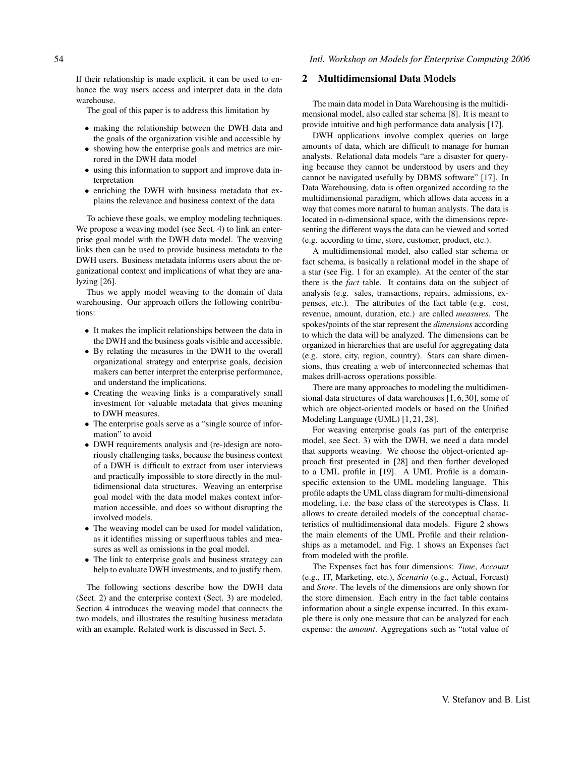If their relationship is made explicit, it can be used to enhance the way users access and interpret data in the data warehouse.

The goal of this paper is to address this limitation by

- making the relationship between the DWH data and the goals of the organization visible and accessible by
- showing how the enterprise goals and metrics are mirrored in the DWH data model
- using this information to support and improve data interpretation
- enriching the DWH with business metadata that explains the relevance and business context of the data

To achieve these goals, we employ modeling techniques. We propose a weaving model (see Sect. 4) to link an enterprise goal model with the DWH data model. The weaving links then can be used to provide business metadata to the DWH users. Business metadata informs users about the organizational context and implications of what they are analyzing [26].

Thus we apply model weaving to the domain of data warehousing. Our approach offers the following contributions:

- It makes the implicit relationships between the data in the DWH and the business goals visible and accessible.
- By relating the measures in the DWH to the overall organizational strategy and enterprise goals, decision makers can better interpret the enterprise performance, and understand the implications.
- Creating the weaving links is a comparatively small investment for valuable metadata that gives meaning to DWH measures.
- The enterprise goals serve as a "single source of information" to avoid
- DWH requirements analysis and (re-)design are notoriously challenging tasks, because the business context of a DWH is difficult to extract from user interviews and practically impossible to store directly in the multidimensional data structures. Weaving an enterprise goal model with the data model makes context information accessible, and does so without disrupting the involved models.
- The weaving model can be used for model validation, as it identifies missing or superfluous tables and measures as well as omissions in the goal model.
- The link to enterprise goals and business strategy can help to evaluate DWH investments, and to justify them.

The following sections describe how the DWH data (Sect. 2) and the enterprise context (Sect. 3) are modeled. Section 4 introduces the weaving model that connects the two models, and illustrates the resulting business metadata with an example. Related work is discussed in Sect. 5.

## **2 Multidimensional Data Models**

The main data model in Data Warehousing is the multidimensional model, also called star schema [8]. It is meant to provide intuitive and high performance data analysis [17].

DWH applications involve complex queries on large amounts of data, which are difficult to manage for human analysts. Relational data models "are a disaster for querying because they cannot be understood by users and they cannot be navigated usefully by DBMS software" [17]. In Data Warehousing, data is often organized according to the multidimensional paradigm, which allows data access in a way that comes more natural to human analysts. The data is located in n-dimensional space, with the dimensions representing the different ways the data can be viewed and sorted (e.g. according to time, store, customer, product, etc.).

A multidimensional model, also called star schema or fact schema, is basically a relational model in the shape of a star (see Fig. 1 for an example). At the center of the star there is the *fact* table. It contains data on the subject of analysis (e.g. sales, transactions, repairs, admissions, expenses, etc.). The attributes of the fact table (e.g. cost, revenue, amount, duration, etc.) are called *measures*. The spokes/points of the star represent the *dimensions* according to which the data will be analyzed. The dimensions can be organized in hierarchies that are useful for aggregating data (e.g. store, city, region, country). Stars can share dimensions, thus creating a web of interconnected schemas that makes drill-across operations possible.

There are many approaches to modeling the multidimensional data structures of data warehouses [1, 6, 30], some of which are object-oriented models or based on the Unified Modeling Language (UML) [1, 21, 28].

For weaving enterprise goals (as part of the enterprise model, see Sect. 3) with the DWH, we need a data model that supports weaving. We choose the object-oriented approach first presented in [28] and then further developed to a UML profile in [19]. A UML Profile is a domainspecific extension to the UML modeling language. This profile adapts the UML class diagram for multi-dimensional modeling, i.e. the base class of the stereotypes is Class. It allows to create detailed models of the conceptual characteristics of multidimensional data models. Figure 2 shows the main elements of the UML Profile and their relationships as a metamodel, and Fig. 1 shows an Expenses fact from modeled with the profile.

The Expenses fact has four dimensions: *Time*, *Account* (e.g., IT, Marketing, etc.), *Scenario* (e.g., Actual, Forcast) and *Store*. The levels of the dimensions are only shown for the store dimension. Each entry in the fact table contains information about a single expense incurred. In this example there is only one measure that can be analyzed for each expense: the *amount*. Aggregations such as "total value of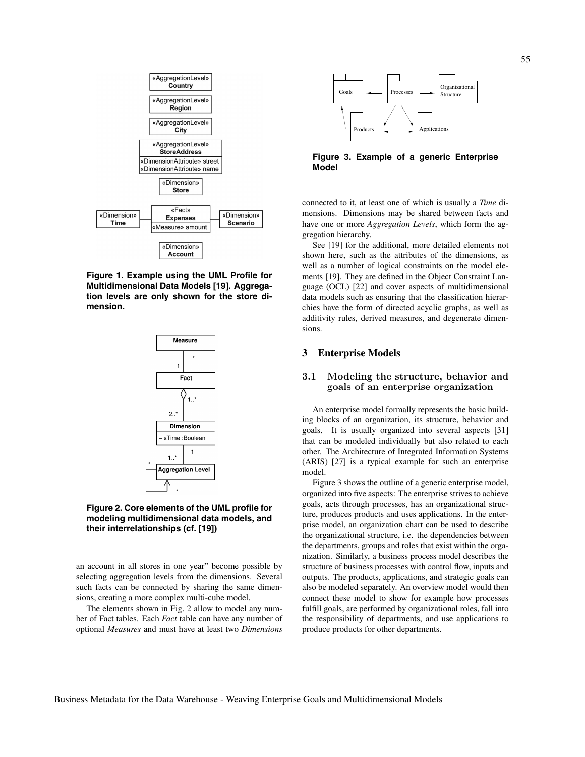

**Figure 1. Example using the UML Profile for Multidimensional Data Models [19]. Aggregation levels are only shown for the store dimension.**



**Figure 2. Core elements of the UML profile for modeling multidimensional data models, and their interrelationships (cf. [19])**

an account in all stores in one year" become possible by selecting aggregation levels from the dimensions. Several such facts can be connected by sharing the same dimensions, creating a more complex multi-cube model.

The elements shown in Fig. 2 allow to model any number of Fact tables. Each *Fact* table can have any number of optional *Measures* and must have at least two *Dimensions*



**Figure 3. Example of a generic Enterprise Model**

connected to it, at least one of which is usually a *Time* dimensions. Dimensions may be shared between facts and have one or more *Aggregation Levels*, which form the aggregation hierarchy.

See [19] for the additional, more detailed elements not shown here, such as the attributes of the dimensions, as well as a number of logical constraints on the model elements [19]. They are defined in the Object Constraint Language (OCL) [22] and cover aspects of multidimensional data models such as ensuring that the classification hierarchies have the form of directed acyclic graphs, as well as additivity rules, derived measures, and degenerate dimensions.

## **3 Enterprise Models**

#### 3.1 Modeling the structure, behavior and goals of an enterprise organization

An enterprise model formally represents the basic building blocks of an organization, its structure, behavior and goals. It is usually organized into several aspects [31] that can be modeled individually but also related to each other. The Architecture of Integrated Information Systems (ARIS) [27] is a typical example for such an enterprise model.

Figure 3 shows the outline of a generic enterprise model, organized into five aspects: The enterprise strives to achieve goals, acts through processes, has an organizational structure, produces products and uses applications. In the enterprise model, an organization chart can be used to describe the organizational structure, i.e. the dependencies between the departments, groups and roles that exist within the organization. Similarly, a business process model describes the structure of business processes with control flow, inputs and outputs. The products, applications, and strategic goals can also be modeled separately. An overview model would then connect these model to show for example how processes fulfill goals, are performed by organizational roles, fall into the responsibility of departments, and use applications to produce products for other departments.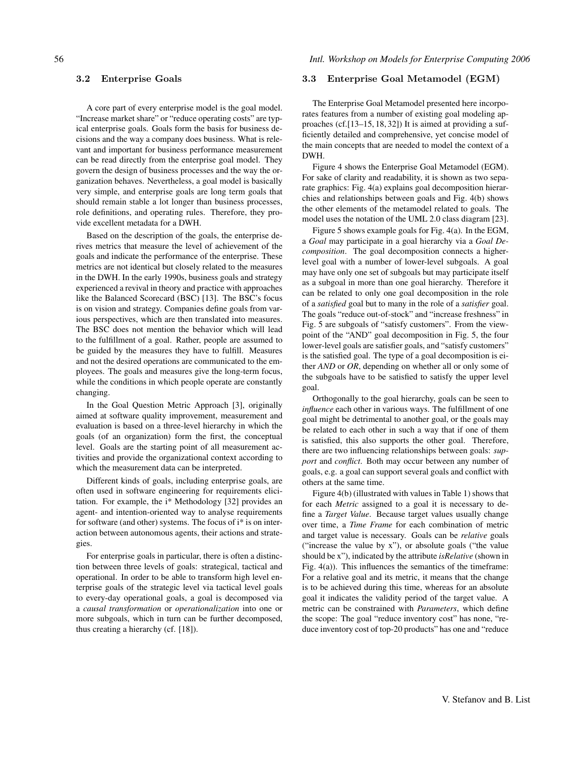## 3.2 Enterprise Goals

A core part of every enterprise model is the goal model. "Increase market share" or "reduce operating costs" are typical enterprise goals. Goals form the basis for business decisions and the way a company does business. What is relevant and important for business performance measurement can be read directly from the enterprise goal model. They govern the design of business processes and the way the organization behaves. Nevertheless, a goal model is basically very simple, and enterprise goals are long term goals that should remain stable a lot longer than business processes, role definitions, and operating rules. Therefore, they provide excellent metadata for a DWH.

Based on the description of the goals, the enterprise derives metrics that measure the level of achievement of the goals and indicate the performance of the enterprise. These metrics are not identical but closely related to the measures in the DWH. In the early 1990s, business goals and strategy experienced a revival in theory and practice with approaches like the Balanced Scorecard (BSC) [13]. The BSC's focus is on vision and strategy. Companies define goals from various perspectives, which are then translated into measures. The BSC does not mention the behavior which will lead to the fulfillment of a goal. Rather, people are assumed to be guided by the measures they have to fulfill. Measures and not the desired operations are communicated to the employees. The goals and measures give the long-term focus, while the conditions in which people operate are constantly changing.

In the Goal Question Metric Approach [3], originally aimed at software quality improvement, measurement and evaluation is based on a three-level hierarchy in which the goals (of an organization) form the first, the conceptual level. Goals are the starting point of all measurement activities and provide the organizational context according to which the measurement data can be interpreted.

Different kinds of goals, including enterprise goals, are often used in software engineering for requirements elicitation. For example, the i\* Methodology [32] provides an agent- and intention-oriented way to analyse requirements for software (and other) systems. The focus of i\* is on interaction between autonomous agents, their actions and strategies.

For enterprise goals in particular, there is often a distinction between three levels of goals: strategical, tactical and operational. In order to be able to transform high level enterprise goals of the strategic level via tactical level goals to every-day operational goals, a goal is decomposed via a *causal transformation* or *operationalization* into one or more subgoals, which in turn can be further decomposed, thus creating a hierarchy (cf. [18]).

56 *Intl. Workshop on Models for Enterprise Computing 2006*

#### 3.3 Enterprise Goal Metamodel (EGM)

The Enterprise Goal Metamodel presented here incorporates features from a number of existing goal modeling approaches (cf.[13–15, 18, 32]) It is aimed at providing a sufficiently detailed and comprehensive, yet concise model of the main concepts that are needed to model the context of a DWH.

Figure 4 shows the Enterprise Goal Metamodel (EGM). For sake of clarity and readability, it is shown as two separate graphics: Fig. 4(a) explains goal decomposition hierarchies and relationships between goals and Fig. 4(b) shows the other elements of the metamodel related to goals. The model uses the notation of the UML 2.0 class diagram [23].

Figure 5 shows example goals for Fig. 4(a). In the EGM, a *Goal* may participate in a goal hierarchy via a *Goal Decomposition*. The goal decomposition connects a higherlevel goal with a number of lower-level subgoals. A goal may have only one set of subgoals but may participate itself as a subgoal in more than one goal hierarchy. Therefore it can be related to only one goal decomposition in the role of a *satisfied* goal but to many in the role of a *satisfier* goal. The goals "reduce out-of-stock" and "increase freshness" in Fig. 5 are subgoals of "satisfy customers". From the viewpoint of the "AND" goal decomposition in Fig. 5, the four lower-level goals are satisfier goals, and "satisfy customers" is the satisfied goal. The type of a goal decomposition is either *AND* or *OR*, depending on whether all or only some of the subgoals have to be satisfied to satisfy the upper level goal.

Orthogonally to the goal hierarchy, goals can be seen to *influence* each other in various ways. The fulfillment of one goal might be detrimental to another goal, or the goals may be related to each other in such a way that if one of them is satisfied, this also supports the other goal. Therefore, there are two influencing relationships between goals: *support* and *conflict*. Both may occur between any number of goals, e.g. a goal can support several goals and conflict with others at the same time.

Figure 4(b) (illustrated with values in Table 1) shows that for each *Metric* assigned to a goal it is necessary to define a *Target Value*. Because target values usually change over time, a *Time Frame* for each combination of metric and target value is necessary. Goals can be *relative* goals ("increase the value by x"), or absolute goals ("the value should be x"), indicated by the attribute *isRelative* (shown in Fig. 4(a)). This influences the semantics of the timeframe: For a relative goal and its metric, it means that the change is to be achieved during this time, whereas for an absolute goal it indicates the validity period of the target value. A metric can be constrained with *Parameters*, which define the scope: The goal "reduce inventory cost" has none, "reduce inventory cost of top-20 products" has one and "reduce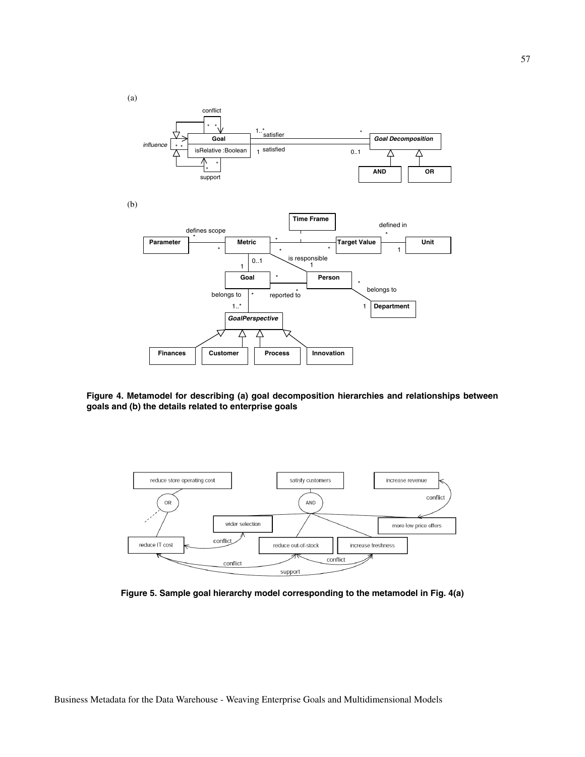

**Figure 4. Metamodel for describing (a) goal decomposition hierarchies and relationships between goals and (b) the details related to enterprise goals**



**Figure 5. Sample goal hierarchy model corresponding to the metamodel in Fig. 4(a)**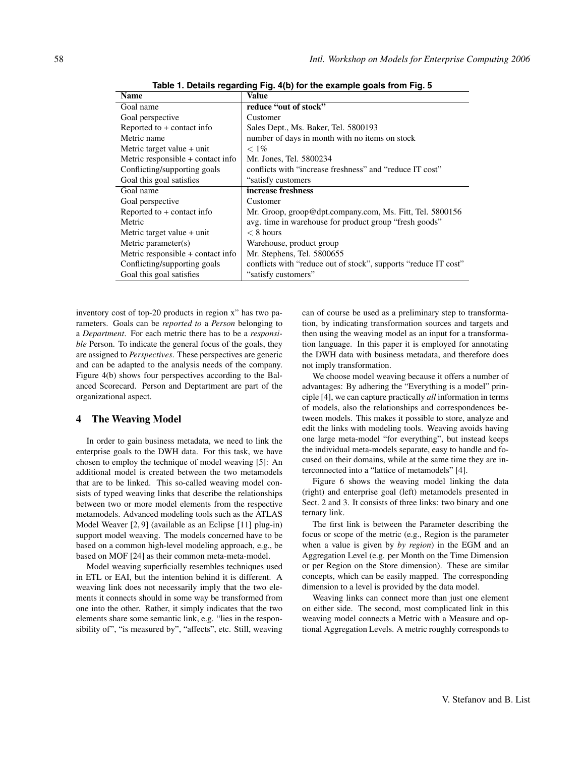| <b>Name</b>                       | Value                                                           |  |  |  |
|-----------------------------------|-----------------------------------------------------------------|--|--|--|
| Goal name                         | reduce "out of stock"                                           |  |  |  |
| Goal perspective                  | Customer                                                        |  |  |  |
| Reported to + contact info        | Sales Dept., Ms. Baker, Tel. 5800193                            |  |  |  |
| Metric name                       | number of days in month with no items on stock                  |  |  |  |
| Metric target value + unit        | $< 1\%$                                                         |  |  |  |
| Metric responsible + contact info | Mr. Jones, Tel. 5800234                                         |  |  |  |
| Conflicting/supporting goals      | conflicts with "increase freshness" and "reduce IT cost"        |  |  |  |
| Goal this goal satisfies          | "satisfy customers"                                             |  |  |  |
| Goal name                         | increase freshness                                              |  |  |  |
| Goal perspective                  | Customer                                                        |  |  |  |
| Reported to + contact info        | Mr. Groop, groop@dpt.company.com, Ms. Fitt, Tel. 5800156        |  |  |  |
| Metric                            | avg. time in warehouse for product group "fresh goods"          |  |  |  |
| Metric target value + unit        | $< 8$ hours                                                     |  |  |  |
| Metric parameter(s)               | Warehouse, product group                                        |  |  |  |
| Metric responsible + contact info | Mr. Stephens, Tel. 5800655                                      |  |  |  |
| Conflicting/supporting goals      | conflicts with "reduce out of stock", supports "reduce IT cost" |  |  |  |
| Goal this goal satisfies          | "satisfy customers"                                             |  |  |  |

**Table 1. Details regarding Fig. 4(b) for the example goals from Fig. 5**

inventory cost of top-20 products in region x" has two parameters. Goals can be *reported to* a *Person* belonging to a *Department*. For each metric there has to be a *responsible* Person. To indicate the general focus of the goals, they are assigned to *Perspectives*. These perspectives are generic and can be adapted to the analysis needs of the company. Figure 4(b) shows four perspectives according to the Balanced Scorecard. Person and Deptartment are part of the organizational aspect.

## **4 TheWeaving Model**

In order to gain business metadata, we need to link the enterprise goals to the DWH data. For this task, we have chosen to employ the technique of model weaving [5]: An additional model is created between the two metamodels that are to be linked. This so-called weaving model consists of typed weaving links that describe the relationships between two or more model elements from the respective metamodels. Advanced modeling tools such as the ATLAS Model Weaver [2, 9] (available as an Eclipse [11] plug-in) support model weaving. The models concerned have to be based on a common high-level modeling approach, e.g., be based on MOF [24] as their common meta-meta-model.

Model weaving superficially resembles techniques used in ETL or EAI, but the intention behind it is different. A weaving link does not necessarily imply that the two elements it connects should in some way be transformed from one into the other. Rather, it simply indicates that the two elements share some semantic link, e.g. "lies in the responsibility of", "is measured by", "affects", etc. Still, weaving

can of course be used as a preliminary step to transformation, by indicating transformation sources and targets and then using the weaving model as an input for a transformation language. In this paper it is employed for annotating the DWH data with business metadata, and therefore does not imply transformation.

We choose model weaving because it offers a number of advantages: By adhering the "Everything is a model" principle [4], we can capture practically *all* information in terms of models, also the relationships and correspondences between models. This makes it possible to store, analyze and edit the links with modeling tools. Weaving avoids having one large meta-model "for everything", but instead keeps the individual meta-models separate, easy to handle and focused on their domains, while at the same time they are interconnected into a "lattice of metamodels" [4].

Figure 6 shows the weaving model linking the data (right) and enterprise goal (left) metamodels presented in Sect. 2 and 3. It consists of three links: two binary and one ternary link.

The first link is between the Parameter describing the focus or scope of the metric (e.g., Region is the parameter when a value is given by *by region*) in the EGM and an Aggregation Level (e.g. per Month on the Time Dimension or per Region on the Store dimension). These are similar concepts, which can be easily mapped. The corresponding dimension to a level is provided by the data model.

Weaving links can connect more than just one element on either side. The second, most complicated link in this weaving model connects a Metric with a Measure and optional Aggregation Levels. A metric roughly corresponds to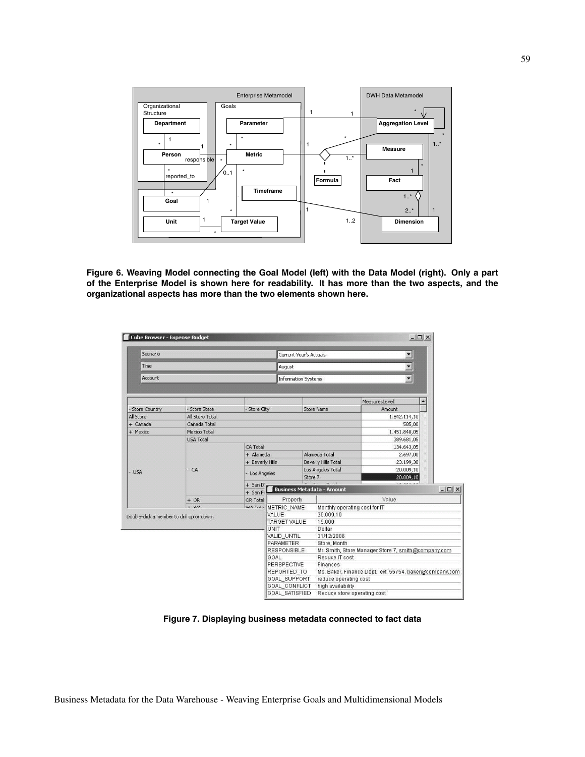

**Figure 6. Weaving Model connecting the Goal Model (left) with the Data Model (right). Only a part of the Enterprise Model is shown here for readability. It has more than the two aspects, and the organizational aspects has more than the two elements shown here.**

| Scenario<br>Time<br>Account                |                  |                                      | তা<br><b>Current Year's Actuals</b><br>$\overline{\phantom{0}}$<br>August<br>×<br><b>Information Systems</b> |                                   |                                                                                  |               |  |
|--------------------------------------------|------------------|--------------------------------------|--------------------------------------------------------------------------------------------------------------|-----------------------------------|----------------------------------------------------------------------------------|---------------|--|
|                                            |                  |                                      |                                                                                                              |                                   |                                                                                  |               |  |
|                                            |                  |                                      |                                                                                                              |                                   |                                                                                  |               |  |
| - Store Country                            | - Store State    | - Store City                         |                                                                                                              | Store Name                        | Amount                                                                           |               |  |
| All Store                                  | All Store Total  |                                      |                                                                                                              |                                   | 1.842.114,10                                                                     |               |  |
| $+$ Canada                                 | Canada Total     |                                      | 585,00                                                                                                       |                                   |                                                                                  |               |  |
| + Mexico                                   | Mexico Total     |                                      | 1.451.848,05                                                                                                 |                                   |                                                                                  |               |  |
| $-$ USA                                    | <b>USA Total</b> |                                      |                                                                                                              |                                   | 389.681,05                                                                       |               |  |
|                                            |                  | CA Total                             |                                                                                                              |                                   | 134.643,05                                                                       |               |  |
|                                            |                  | + Alameda                            |                                                                                                              | Alameda Total                     | 2.697,00                                                                         |               |  |
|                                            |                  | + Beverly Hills                      |                                                                                                              | Beverly Hills Total               | 23.199,30                                                                        |               |  |
|                                            | $-CA$            | - Los Angeles                        |                                                                                                              | Los Angeles Total                 | 20.009,10                                                                        |               |  |
|                                            |                  |                                      |                                                                                                              | Store 7                           | 20.009,10                                                                        |               |  |
|                                            |                  | $+$ San D <sup>*</sup><br>$+$ San Fr |                                                                                                              | <b>Business Metadata - Amount</b> |                                                                                  | $  D  \times$ |  |
|                                            | $+$ OR           | OR Total                             | Property                                                                                                     |                                   | Value                                                                            |               |  |
|                                            | $+$ $uv_0$       |                                      | WA TOPS METRIC NAME                                                                                          |                                   | Monthly operating cost for IT                                                    |               |  |
| Double-click a member to drill up or down. |                  |                                      | VALUE                                                                                                        | 20.009,10                         |                                                                                  |               |  |
|                                            |                  |                                      | TARGET VALUE<br>15.000                                                                                       |                                   |                                                                                  |               |  |
|                                            |                  |                                      | UNIT                                                                                                         | Dollar                            |                                                                                  |               |  |
|                                            |                  |                                      | VALID UNTIL                                                                                                  | 31/12/2006                        |                                                                                  |               |  |
|                                            |                  |                                      | PARAMETER<br>Store, Month                                                                                    |                                   |                                                                                  |               |  |
|                                            |                  |                                      | <b>RESPONSIBLE</b>                                                                                           |                                   | Mr. Smith, Store Manager Store 7, smith@company.com                              |               |  |
|                                            |                  |                                      | GOAL                                                                                                         | Reduce IT cost                    |                                                                                  |               |  |
|                                            |                  |                                      | PERSPECTIVE<br>Finances                                                                                      |                                   |                                                                                  |               |  |
|                                            |                  |                                      | REPORTED_TO<br>GOAL SUPPORT                                                                                  |                                   | Ms. Baker, Finance Dept., ext. 55754, baker@company.com<br>reduce operating cost |               |  |
|                                            |                  |                                      | GOAL CONFLICT                                                                                                |                                   | high availability                                                                |               |  |
|                                            |                  |                                      | GOAL SATISFIED                                                                                               | Reduce store operating cost       |                                                                                  |               |  |

**Figure 7. Displaying business metadata connected to fact data**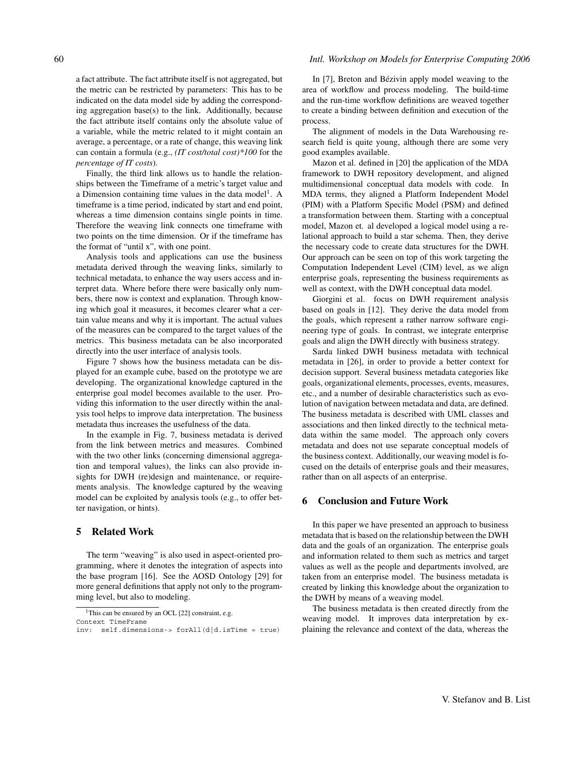a fact attribute. The fact attribute itself is not aggregated, but the metric can be restricted by parameters: This has to be indicated on the data model side by adding the corresponding aggregation base(s) to the link. Additionally, because the fact attribute itself contains only the absolute value of a variable, while the metric related to it might contain an average, a percentage, or a rate of change, this weaving link can contain a formula (e.g., *(IT cost/total cost)\*100* for the *percentage of IT costs*).

Finally, the third link allows us to handle the relationships between the Timeframe of a metric's target value and a Dimension containing time values in the data model<sup>1</sup>. A timeframe is a time period, indicated by start and end point, whereas a time dimension contains single points in time. Therefore the weaving link connects one timeframe with two points on the time dimension. Or if the timeframe has the format of "until x", with one point.

Analysis tools and applications can use the business metadata derived through the weaving links, similarly to technical metadata, to enhance the way users access and interpret data. Where before there were basically only numbers, there now is context and explanation. Through knowing which goal it measures, it becomes clearer what a certain value means and why it is important. The actual values of the measures can be compared to the target values of the metrics. This business metadata can be also incorporated directly into the user interface of analysis tools.

Figure 7 shows how the business metadata can be displayed for an example cube, based on the prototype we are developing. The organizational knowledge captured in the enterprise goal model becomes available to the user. Providing this information to the user directly within the analysis tool helps to improve data interpretation. The business metadata thus increases the usefulness of the data.

In the example in Fig. 7, business metadata is derived from the link between metrics and measures. Combined with the two other links (concerning dimensional aggregation and temporal values), the links can also provide insights for DWH (re)design and maintenance, or requirements analysis. The knowledge captured by the weaving model can be exploited by analysis tools (e.g., to offer better navigation, or hints).

#### **5 Related Work**

The term "weaving" is also used in aspect-oriented programming, where it denotes the integration of aspects into the base program [16]. See the AOSD Ontology [29] for more general definitions that apply not only to the programming level, but also to modeling.

<sup>1</sup>This can be ensured by an OCL  $[22]$  constraint, e.g. Context TimeFrame

## 60 *Intl. Workshop on Models for Enterprise Computing 2006*

In [7], Breton and Bézivin apply model weaving to the area of workflow and process modeling. The build-time and the run-time workflow definitions are weaved together to create a binding between definition and execution of the process.

The alignment of models in the Data Warehousing research field is quite young, although there are some very good examples available.

Mazon et al. defined in [20] the application of the MDA framework to DWH repository development, and aligned multidimensional conceptual data models with code. In MDA terms, they aligned a Platform Independent Model (PIM) with a Platform Specific Model (PSM) and defined a transformation between them. Starting with a conceptual model, Mazon et. al developed a logical model using a relational approach to build a star schema. Then, they derive the necessary code to create data structures for the DWH. Our approach can be seen on top of this work targeting the Computation Independent Level (CIM) level, as we align enterprise goals, representing the business requirements as well as context, with the DWH conceptual data model.

Giorgini et al. focus on DWH requirement analysis based on goals in [12]. They derive the data model from the goals, which represent a rather narrow software engineering type of goals. In contrast, we integrate enterprise goals and align the DWH directly with business strategy.

Sarda linked DWH business metadata with technical metadata in [26], in order to provide a better context for decision support. Several business metadata categories like goals, organizational elements, processes, events, measures, etc., and a number of desirable characteristics such as evolution of navigation between metadata and data, are defined. The business metadata is described with UML classes and associations and then linked directly to the technical metadata within the same model. The approach only covers metadata and does not use separate conceptual models of the business context. Additionally, our weaving model is focused on the details of enterprise goals and their measures, rather than on all aspects of an enterprise.

## **6 Conclusion and Future Work**

In this paper we have presented an approach to business metadata that is based on the relationship between the DWH data and the goals of an organization. The enterprise goals and information related to them such as metrics and target values as well as the people and departments involved, are taken from an enterprise model. The business metadata is created by linking this knowledge about the organization to the DWH by means of a weaving model.

The business metadata is then created directly from the weaving model. It improves data interpretation by explaining the relevance and context of the data, whereas the

inv: self.dimensions-> forAll(d|d.isTime = true)